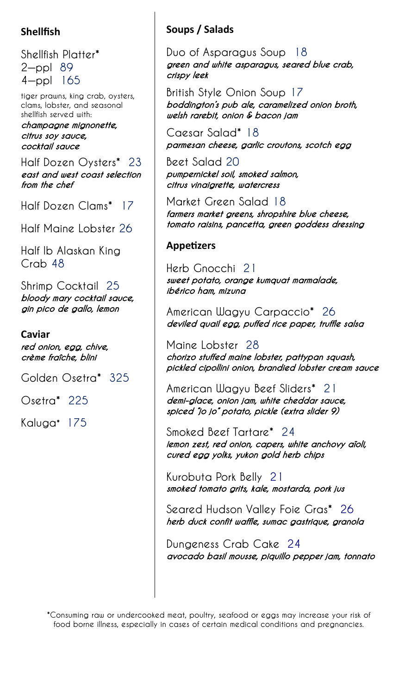# **Shellfish**

Shellfish Platter\* 2—ppl 89 4—ppl 165

tiger prawns, king crab, oysters, clams, lobster, and seasonal shellfish served with:

#### champagne mignonette, citrus soy sauce, cocktail sauce

Half Dozen Oysters\* 23 east and west coast selection from the chef

Half Dozen Clams\* 17

Half Maine Lobster 26

Half lb Alaskan King Crab 48

Shrimp Cocktail 25 bloody mary cocktail sauce, gin pico de gallo, lemon

## **Caviar**

red onion, egg, chive, crème fraîche, blini

Golden Osetra\* 325

Osetra\* 225

Kaluga\* 175

# **Soups / Salads**

Duo of Asparagus Soup 18 green and white asparagus, seared blue crab, crispy leek

British Style Onion Soup 17 boddington's pub ale, caramelized onion broth, welsh rarebit, onion & bacon jam

Caesar Salad\* 18 parmesan cheese, garlic croutons, scotch egg

Beet Salad 20 pumpernickel soil, smoked salmon, citrus vinaigrette, watercress

Market Green Salad 18 farmers market greens, shropshire blue cheese, tomato raisins, pancetta, green goddess dressing

## **Appetizers**

Herb Gnocchi 21 sweet potato, orange kumquat marmalade, ibérico ham, mizuna

American Wagyu Carpaccio\* 26 deviled quail egg, puffed rice paper, truffle salsa

Maine Lobster 28 chorizo stuffed maine lobster, pattypan squash, pickled cipollini onion, brandied lobster cream sauce

American Wagyu Beef Sliders\* 21 demi-glace, onion jam, white cheddar sauce, spiced "jo jo" potato, pickle (extra slider 9)

Smoked Beef Tartare\* 24 lemon zest, red onion, capers, white anchovy aïoli, cured egg yolks, yukon gold herb chips

Kurobuta Pork Belly 21 smoked tomato grits, kale, mostarda, pork jus

Seared Hudson Valley Foie Gras\* 26 herb duck confit waffle, sumac gastrique, granola

Dungeness Crab Cake 24 avocado basil mousse, piquillo pepper jam, tonnato

\*Consuming raw or undercooked meat, poultry, seafood or eggs may increase your risk of food borne illness, especially in cases of certain medical conditions and pregnancies.